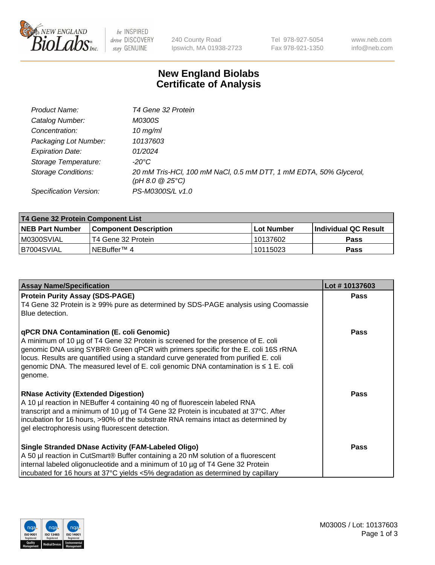

 $be$  INSPIRED drive DISCOVERY stay GENUINE

240 County Road Ipswich, MA 01938-2723 Tel 978-927-5054 Fax 978-921-1350 www.neb.com info@neb.com

## **New England Biolabs Certificate of Analysis**

| Product Name:              | T4 Gene 32 Protein                                                                       |
|----------------------------|------------------------------------------------------------------------------------------|
| Catalog Number:            | M0300S                                                                                   |
| Concentration:             | 10 $mg/ml$                                                                               |
| Packaging Lot Number:      | 10137603                                                                                 |
| <b>Expiration Date:</b>    | 01/2024                                                                                  |
| Storage Temperature:       | -20°C                                                                                    |
| <b>Storage Conditions:</b> | 20 mM Tris-HCl, 100 mM NaCl, 0.5 mM DTT, 1 mM EDTA, 50% Glycerol,<br>$(pH 8.0 \ @ 25°C)$ |
| Specification Version:     | PS-M0300S/L v1.0                                                                         |

| T4 Gene 32 Protein Component List |                        |            |                       |  |  |
|-----------------------------------|------------------------|------------|-----------------------|--|--|
| <b>NEB Part Number</b>            | Component Description_ | Lot Number | ∣Individual QC Result |  |  |
| M0300SVIAL                        | T4 Gene 32 Protein     | 10137602   | <b>Pass</b>           |  |  |
| B7004SVIAL                        | INEBuffer™ 4           | 10115023   | Pass                  |  |  |

| <b>Assay Name/Specification</b>                                                                                                                                                                                                                                                                                                                                                                                         | Lot #10137603 |
|-------------------------------------------------------------------------------------------------------------------------------------------------------------------------------------------------------------------------------------------------------------------------------------------------------------------------------------------------------------------------------------------------------------------------|---------------|
| <b>Protein Purity Assay (SDS-PAGE)</b><br>T4 Gene 32 Protein is ≥ 99% pure as determined by SDS-PAGE analysis using Coomassie<br>Blue detection.                                                                                                                                                                                                                                                                        | <b>Pass</b>   |
| <b>qPCR DNA Contamination (E. coli Genomic)</b><br>A minimum of 10 µg of T4 Gene 32 Protein is screened for the presence of E. coli<br>genomic DNA using SYBR® Green qPCR with primers specific for the E. coli 16S rRNA<br>locus. Results are quantified using a standard curve generated from purified E. coli<br>genomic DNA. The measured level of E. coli genomic DNA contamination is $\leq 1$ E. coli<br>genome. | <b>Pass</b>   |
| <b>RNase Activity (Extended Digestion)</b><br>A 10 µl reaction in NEBuffer 4 containing 40 ng of fluorescein labeled RNA<br>transcript and a minimum of 10 µg of T4 Gene 32 Protein is incubated at 37°C. After<br>incubation for 16 hours, >90% of the substrate RNA remains intact as determined by<br>gel electrophoresis using fluorescent detection.                                                               | <b>Pass</b>   |
| Single Stranded DNase Activity (FAM-Labeled Oligo)<br>A 50 µl reaction in CutSmart® Buffer containing a 20 nM solution of a fluorescent<br>internal labeled oligonucleotide and a minimum of 10 µg of T4 Gene 32 Protein<br>incubated for 16 hours at 37°C yields <5% degradation as determined by capillary                                                                                                            | <b>Pass</b>   |

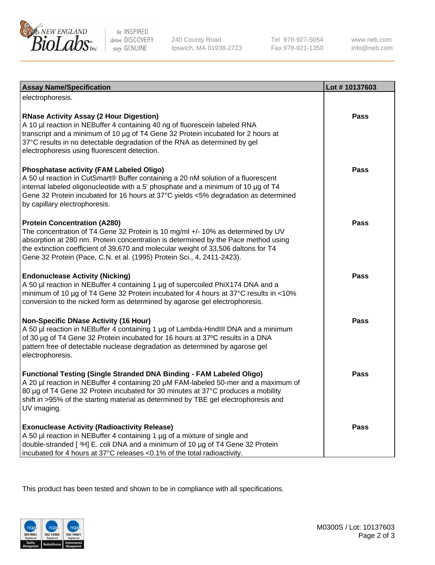

be INSPIRED drive DISCOVERY stay GENUINE

240 County Road Ipswich, MA 01938-2723 Tel 978-927-5054 Fax 978-921-1350 www.neb.com info@neb.com

| <b>Assay Name/Specification</b>                                                                                                                                                                                                                                                                                                                                              | Lot #10137603 |
|------------------------------------------------------------------------------------------------------------------------------------------------------------------------------------------------------------------------------------------------------------------------------------------------------------------------------------------------------------------------------|---------------|
| electrophoresis.                                                                                                                                                                                                                                                                                                                                                             |               |
| <b>RNase Activity Assay (2 Hour Digestion)</b><br>A 10 µl reaction in NEBuffer 4 containing 40 ng of fluorescein labeled RNA<br>transcript and a minimum of 10 µg of T4 Gene 32 Protein incubated for 2 hours at<br>37°C results in no detectable degradation of the RNA as determined by gel<br>electrophoresis using fluorescent detection.                                | <b>Pass</b>   |
| <b>Phosphatase activity (FAM Labeled Oligo)</b><br>A 50 ul reaction in CutSmart® Buffer containing a 20 nM solution of a fluorescent<br>internal labeled oligonucleotide with a 5' phosphate and a minimum of 10 µg of T4<br>Gene 32 Protein incubated for 16 hours at 37°C yields <5% degradation as determined<br>by capillary electrophoresis.                            | Pass          |
| <b>Protein Concentration (A280)</b><br>The concentration of T4 Gene 32 Protein is 10 mg/ml +/- 10% as determined by UV<br>absorption at 280 nm. Protein concentration is determined by the Pace method using<br>the extinction coefficient of 39,670 and molecular weight of 33,506 daltons for T4<br>Gene 32 Protein (Pace, C.N. et al. (1995) Protein Sci., 4, 2411-2423). | <b>Pass</b>   |
| <b>Endonuclease Activity (Nicking)</b><br>A 50 µl reaction in NEBuffer 4 containing 1 µg of supercoiled PhiX174 DNA and a<br>minimum of 10 µg of T4 Gene 32 Protein incubated for 4 hours at 37°C results in <10%<br>conversion to the nicked form as determined by agarose gel electrophoresis.                                                                             | <b>Pass</b>   |
| <b>Non-Specific DNase Activity (16 Hour)</b><br>A 50 µl reaction in NEBuffer 4 containing 1 µg of Lambda-HindIII DNA and a minimum<br>of 30 µg of T4 Gene 32 Protein incubated for 16 hours at 37°C results in a DNA<br>pattern free of detectable nuclease degradation as determined by agarose gel<br>electrophoresis.                                                     | <b>Pass</b>   |
| <b>Functional Testing (Single Stranded DNA Binding - FAM Labeled Oligo)</b><br>A 20 µl reaction in NEBuffer 4 containing 20 µM FAM-labeled 50-mer and a maximum of<br>80 µg of T4 Gene 32 Protein incubated for 30 minutes at 37°C produces a mobility<br>shift in >95% of the starting material as determined by TBE gel electrophoresis and<br>UV imaging.                 | <b>Pass</b>   |
| <b>Exonuclease Activity (Radioactivity Release)</b><br>A 50 µl reaction in NEBuffer 4 containing 1 µg of a mixture of single and<br>double-stranded [3H] E. coli DNA and a minimum of 10 µg of T4 Gene 32 Protein<br>incubated for 4 hours at 37°C releases <0.1% of the total radioactivity.                                                                                | Pass          |

This product has been tested and shown to be in compliance with all specifications.